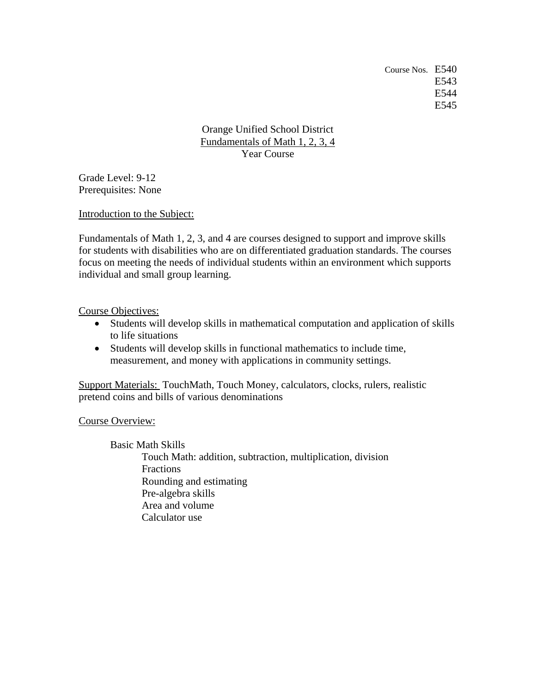Course Nos. E540 E543 E544 E545

Orange Unified School District Fundamentals of Math 1, 2, 3, 4 Year Course

Grade Level: 9-12 Prerequisites: None

Introduction to the Subject:

Fundamentals of Math 1, 2, 3, and 4 are courses designed to support and improve skills for students with disabilities who are on differentiated graduation standards. The courses focus on meeting the needs of individual students within an environment which supports individual and small group learning.

Course Objectives:

- Students will develop skills in mathematical computation and application of skills to life situations
- Students will develop skills in functional mathematics to include time, measurement, and money with applications in community settings.

Support Materials: TouchMath, Touch Money, calculators, clocks, rulers, realistic pretend coins and bills of various denominations

Course Overview:

 Basic Math Skills Touch Math: addition, subtraction, multiplication, division Fractions Rounding and estimating Pre-algebra skills Area and volume Calculator use